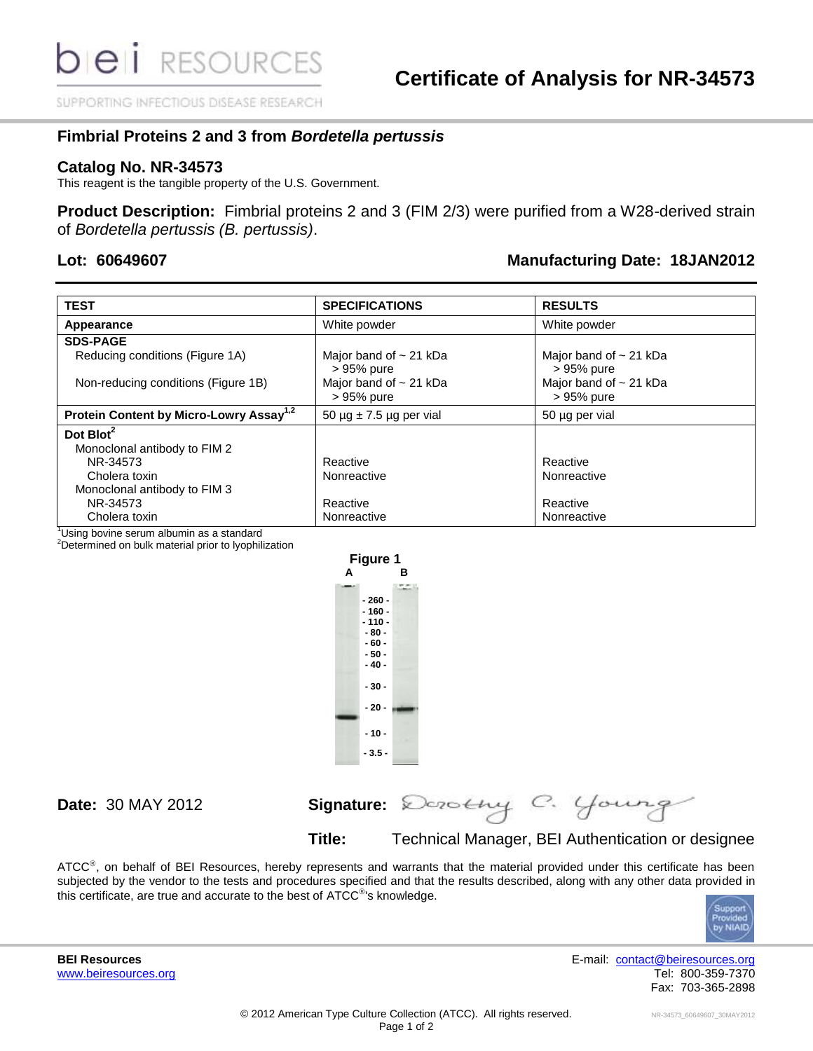SUPPORTING INFECTIOUS DISEASE RESEARCH

## **Fimbrial Proteins 2 and 3 from** *Bordetella pertussis*

## **Catalog No. NR-34573**

This reagent is the tangible property of the U.S. Government.

**Product Description:** Fimbrial proteins 2 and 3 (FIM 2/3) were purified from a W28-derived strain of *Bordetella pertussis (B. pertussis)*.

## **Lot: 60649607 Manufacturing Date: 18JAN2012**

| <b>TEST</b>                                         | <b>SPECIFICATIONS</b>                       | <b>RESULTS</b>                            |
|-----------------------------------------------------|---------------------------------------------|-------------------------------------------|
| Appearance                                          | White powder                                | White powder                              |
| <b>SDS-PAGE</b>                                     |                                             |                                           |
| Reducing conditions (Figure 1A)                     | Major band of $\sim$ 21 kDa<br>$> 95%$ pure | Major band of $\sim$ 21 kDa<br>> 95% pure |
| Non-reducing conditions (Figure 1B)                 | Major band of $\sim$ 21 kDa<br>> 95% pure   | Major band of $\sim$ 21 kDa<br>> 95% pure |
| Protein Content by Micro-Lowry Assay <sup>1,2</sup> | 50 $\mu$ g $\pm$ 7.5 $\mu$ g per vial       | 50 µg per vial                            |
| Dot Blot <sup>2</sup>                               |                                             |                                           |
| Monoclonal antibody to FIM 2                        |                                             |                                           |
| NR-34573                                            | Reactive                                    | Reactive                                  |
| Cholera toxin                                       | Nonreactive                                 | Nonreactive                               |
| Monoclonal antibody to FIM 3                        |                                             |                                           |
| NR-34573                                            | Reactive                                    | Reactive                                  |
| Cholera toxin                                       | Nonreactive                                 | Nonreactive                               |

<sup>1</sup>Using bovine serum albumin as a standard

<sup>2</sup>Determined on bulk material prior to lyophilization



**Date:** 30 MAY 2012 **Signature:**

**Title:** Technical Manager, BEI Authentication or designee

ATCC<sup>®</sup>, on behalf of BEI Resources, hereby represents and warrants that the material provided under this certificate has been subjected by the vendor to the tests and procedures specified and that the results described, along with any other data provided in this certificate, are true and accurate to the best of ATCC $^{\circ}$ 's knowledge.



**BEI Resources** E-mail: [contact@beiresources.org](mailto:contact@beiresources.org) [www.beiresources.org](http://www.beiresources.org/) **Tel: 800-359-7370** Fax: 703-365-2898